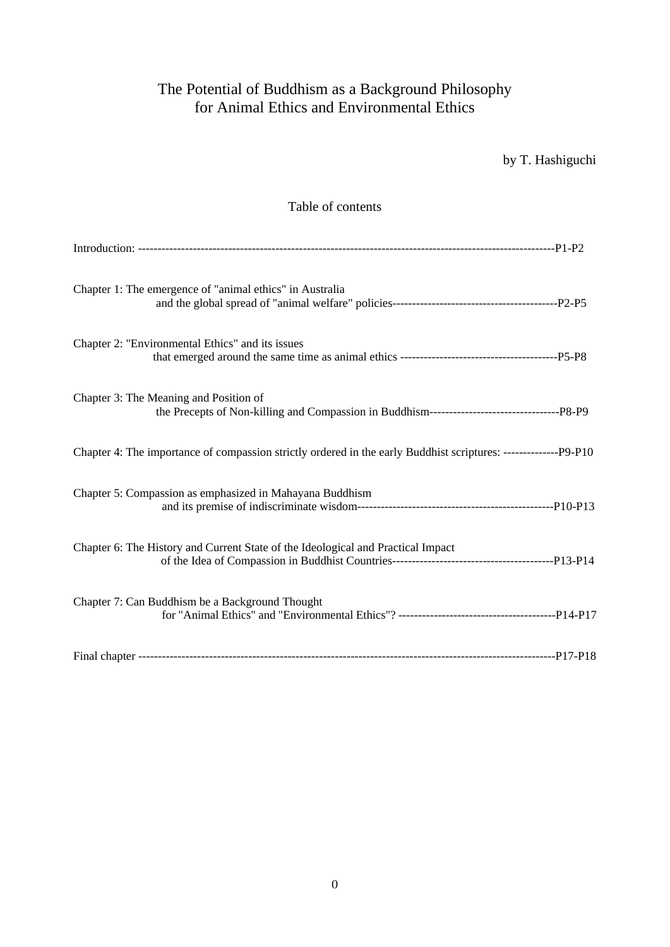# The Potential of Buddhism as a Background Philosophy for Animal Ethics and Environmental Ethics

| by T. Hashiguchi |
|------------------|
|------------------|

## Table of contents

| Chapter 1: The emergence of "animal ethics" in Australia                                                        |  |
|-----------------------------------------------------------------------------------------------------------------|--|
| Chapter 2: "Environmental Ethics" and its issues                                                                |  |
| Chapter 3: The Meaning and Position of                                                                          |  |
| Chapter 4: The importance of compassion strictly ordered in the early Buddhist scriptures: --------------P9-P10 |  |
| Chapter 5: Compassion as emphasized in Mahayana Buddhism                                                        |  |
| Chapter 6: The History and Current State of the Ideological and Practical Impact                                |  |
| Chapter 7: Can Buddhism be a Background Thought                                                                 |  |
|                                                                                                                 |  |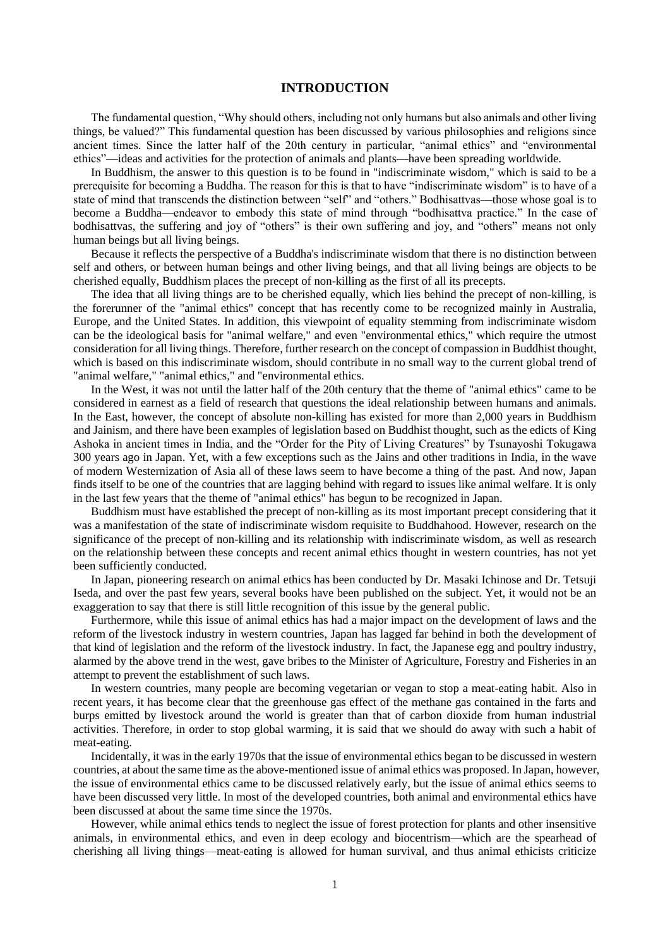## **INTRODUCTION**

The fundamental question, "Why should others, including not only humans but also animals and other living things, be valued?" This fundamental question has been discussed by various philosophies and religions since ancient times. Since the latter half of the 20th century in particular, "animal ethics" and "environmental ethics"—ideas and activities for the protection of animals and plants—have been spreading worldwide.

In Buddhism, the answer to this question is to be found in "indiscriminate wisdom," which is said to be a prerequisite for becoming a Buddha. The reason for this is that to have "indiscriminate wisdom" is to have of a state of mind that transcends the distinction between "self" and "others." Bodhisattvas—those whose goal is to become a Buddha—endeavor to embody this state of mind through "bodhisattva practice." In the case of bodhisattvas, the suffering and joy of "others" is their own suffering and joy, and "others" means not only human beings but all living beings.

Because it reflects the perspective of a Buddha's indiscriminate wisdom that there is no distinction between self and others, or between human beings and other living beings, and that all living beings are objects to be cherished equally, Buddhism places the precept of non-killing as the first of all its precepts.

The idea that all living things are to be cherished equally, which lies behind the precept of non-killing, is the forerunner of the "animal ethics" concept that has recently come to be recognized mainly in Australia, Europe, and the United States. In addition, this viewpoint of equality stemming from indiscriminate wisdom can be the ideological basis for "animal welfare," and even "environmental ethics," which require the utmost consideration for all living things. Therefore, further research on the concept of compassion in Buddhist thought, which is based on this indiscriminate wisdom, should contribute in no small way to the current global trend of "animal welfare," "animal ethics," and "environmental ethics.

In the West, it was not until the latter half of the 20th century that the theme of "animal ethics" came to be considered in earnest as a field of research that questions the ideal relationship between humans and animals. In the East, however, the concept of absolute non-killing has existed for more than 2,000 years in Buddhism and Jainism, and there have been examples of legislation based on Buddhist thought, such as the edicts of King Ashoka in ancient times in India, and the "Order for the Pity of Living Creatures" by Tsunayoshi Tokugawa 300 years ago in Japan. Yet, with a few exceptions such as the Jains and other traditions in India, in the wave of modern Westernization of Asia all of these laws seem to have become a thing of the past. And now, Japan finds itself to be one of the countries that are lagging behind with regard to issues like animal welfare. It is only in the last few years that the theme of "animal ethics" has begun to be recognized in Japan.

Buddhism must have established the precept of non-killing as its most important precept considering that it was a manifestation of the state of indiscriminate wisdom requisite to Buddhahood. However, research on the significance of the precept of non-killing and its relationship with indiscriminate wisdom, as well as research on the relationship between these concepts and recent animal ethics thought in western countries, has not yet been sufficiently conducted.

In Japan, pioneering research on animal ethics has been conducted by Dr. Masaki Ichinose and Dr. Tetsuji Iseda, and over the past few years, several books have been published on the subject. Yet, it would not be an exaggeration to say that there is still little recognition of this issue by the general public.

Furthermore, while this issue of animal ethics has had a major impact on the development of laws and the reform of the livestock industry in western countries, Japan has lagged far behind in both the development of that kind of legislation and the reform of the livestock industry. In fact, the Japanese egg and poultry industry, alarmed by the above trend in the west, gave bribes to the Minister of Agriculture, Forestry and Fisheries in an attempt to prevent the establishment of such laws.

In western countries, many people are becoming vegetarian or vegan to stop a meat-eating habit. Also in recent years, it has become clear that the greenhouse gas effect of the methane gas contained in the farts and burps emitted by livestock around the world is greater than that of carbon dioxide from human industrial activities. Therefore, in order to stop global warming, it is said that we should do away with such a habit of meat-eating.

Incidentally, it was in the early 1970s that the issue of environmental ethics began to be discussed in western countries, at about the same time as the above-mentioned issue of animal ethics was proposed. In Japan, however, the issue of environmental ethics came to be discussed relatively early, but the issue of animal ethics seems to have been discussed very little. In most of the developed countries, both animal and environmental ethics have been discussed at about the same time since the 1970s.

However, while animal ethics tends to neglect the issue of forest protection for plants and other insensitive animals, in environmental ethics, and even in deep ecology and biocentrism—which are the spearhead of cherishing all living things—meat-eating is allowed for human survival, and thus animal ethicists criticize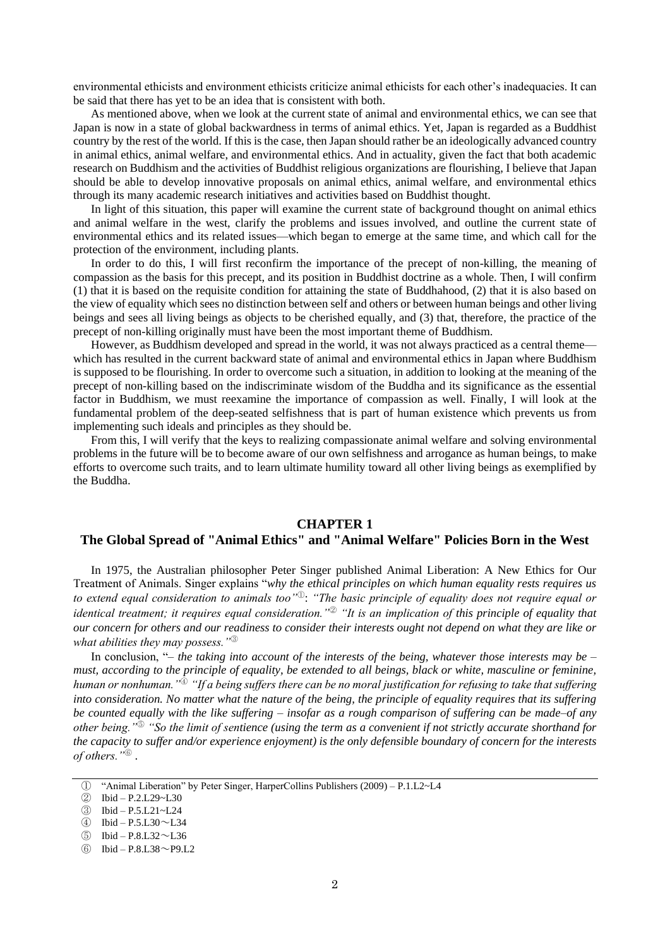environmental ethicists and environment ethicists criticize animal ethicists for each other's inadequacies. It can be said that there has yet to be an idea that is consistent with both.

As mentioned above, when we look at the current state of animal and environmental ethics, we can see that Japan is now in a state of global backwardness in terms of animal ethics. Yet, Japan is regarded as a Buddhist country by the rest of the world. If this is the case, then Japan should rather be an ideologically advanced country in animal ethics, animal welfare, and environmental ethics. And in actuality, given the fact that both academic research on Buddhism and the activities of Buddhist religious organizations are flourishing, I believe that Japan should be able to develop innovative proposals on animal ethics, animal welfare, and environmental ethics through its many academic research initiatives and activities based on Buddhist thought.

In light of this situation, this paper will examine the current state of background thought on animal ethics and animal welfare in the west, clarify the problems and issues involved, and outline the current state of environmental ethics and its related issues—which began to emerge at the same time, and which call for the protection of the environment, including plants.

In order to do this, I will first reconfirm the importance of the precept of non-killing, the meaning of compassion as the basis for this precept, and its position in Buddhist doctrine as a whole. Then, I will confirm (1) that it is based on the requisite condition for attaining the state of Buddhahood, (2) that it is also based on the view of equality which sees no distinction between self and others or between human beings and other living beings and sees all living beings as objects to be cherished equally, and (3) that, therefore, the practice of the precept of non-killing originally must have been the most important theme of Buddhism.

However, as Buddhism developed and spread in the world, it was not always practiced as a central theme which has resulted in the current backward state of animal and environmental ethics in Japan where Buddhism is supposed to be flourishing. In order to overcome such a situation, in addition to looking at the meaning of the precept of non-killing based on the indiscriminate wisdom of the Buddha and its significance as the essential factor in Buddhism, we must reexamine the importance of compassion as well. Finally, I will look at the fundamental problem of the deep-seated selfishness that is part of human existence which prevents us from implementing such ideals and principles as they should be.

From this, I will verify that the keys to realizing compassionate animal welfare and solving environmental problems in the future will be to become aware of our own selfishness and arrogance as human beings, to make efforts to overcome such traits, and to learn ultimate humility toward all other living beings as exemplified by the Buddha.

#### **CHAPTER 1**

## **The Global Spread of "Animal Ethics" and "Animal Welfare" Policies Born in the West**

In 1975, the Australian philosopher Peter Singer published Animal Liberation: A New Ethics for Our Treatment of Animals. Singer explains "*why the ethical principles on which human equality rests requires us to extend equal consideration to animals too"*<sup>①</sup>: *"The basic principle of equality does not require equal or identical treatment; it requires equal consideration."*<sup>②</sup> *"It is an implication of this principle of equality that our concern for others and our readiness to consider their interests ought not depend on what they are like or what abilities they may possess."*<sup>③</sup>

In conclusion, "*– the taking into account of the interests of the being, whatever those interests may be – must, according to the principle of equality, be extended to all beings, black or white, masculine or feminine, human or nonhuman."*<sup>④</sup>*"If a being suffers there can be no moral justification for refusing to take that suffering into consideration. No matter what the nature of the being, the principle of equality requires that its suffering be counted equally with the like suffering – insofar as a rough comparison of suffering can be made–of any other being."*<sup>⑤</sup> *"So the limit of sentience (using the term as a convenient if not strictly accurate shorthand for the capacity to suffer and/or experience enjoyment) is the only defensible boundary of concern for the interests of others."*<sup>⑥</sup> .

① "Animal Liberation" by Peter Singer, HarperCollins Publishers (2009) – P.1.L2~L4

② Ibid – P.2.L29~L30

③ Ibid – P.5.L21~L24

④ Ibid – P.5.L30~L34

⑤ Ibid – P.8.L32~L36

⑥ Ibid – P.8.L38~P9.L2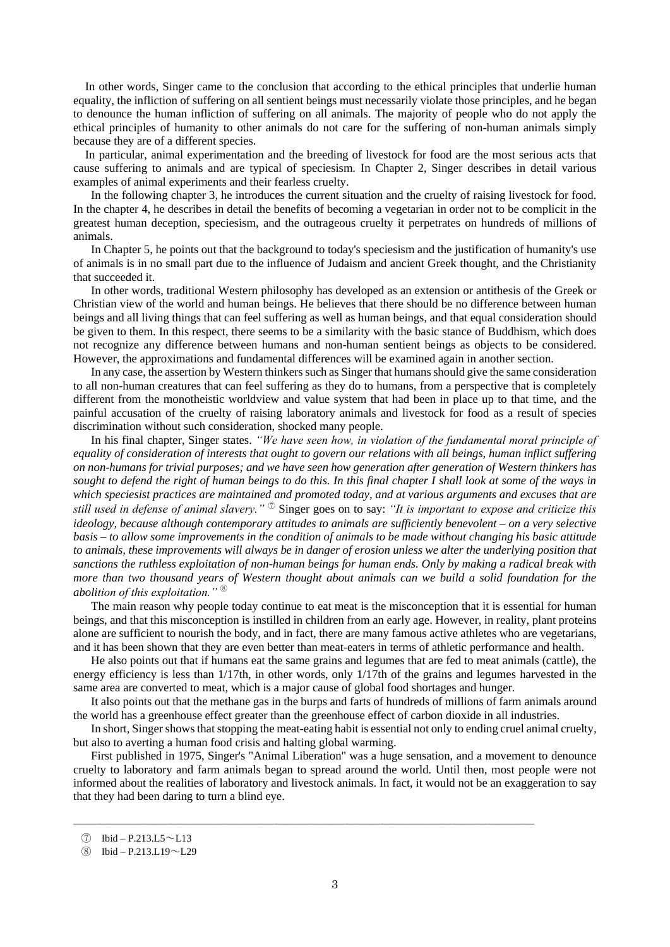In other words, Singer came to the conclusion that according to the ethical principles that underlie human equality, the infliction of suffering on all sentient beings must necessarily violate those principles, and he began to denounce the human infliction of suffering on all animals. The majority of people who do not apply the ethical principles of humanity to other animals do not care for the suffering of non-human animals simply because they are of a different species.

In particular, animal experimentation and the breeding of livestock for food are the most serious acts that cause suffering to animals and are typical of speciesism. In Chapter 2, Singer describes in detail various examples of animal experiments and their fearless cruelty.

In the following chapter 3, he introduces the current situation and the cruelty of raising livestock for food. In the chapter 4, he describes in detail the benefits of becoming a vegetarian in order not to be complicit in the greatest human deception, speciesism, and the outrageous cruelty it perpetrates on hundreds of millions of animals.

In Chapter 5, he points out that the background to today's speciesism and the justification of humanity's use of animals is in no small part due to the influence of Judaism and ancient Greek thought, and the Christianity that succeeded it.

In other words, traditional Western philosophy has developed as an extension or antithesis of the Greek or Christian view of the world and human beings. He believes that there should be no difference between human beings and all living things that can feel suffering as well as human beings, and that equal consideration should be given to them. In this respect, there seems to be a similarity with the basic stance of Buddhism, which does not recognize any difference between humans and non-human sentient beings as objects to be considered. However, the approximations and fundamental differences will be examined again in another section.

In any case, the assertion by Western thinkers such as Singer that humans should give the same consideration to all non-human creatures that can feel suffering as they do to humans, from a perspective that is completely different from the monotheistic worldview and value system that had been in place up to that time, and the painful accusation of the cruelty of raising laboratory animals and livestock for food as a result of species discrimination without such consideration, shocked many people.

In his final chapter, Singer states. *"We have seen how, in violation of the fundamental moral principle of equality of consideration of interests that ought to govern our relations with all beings, human inflict suffering on non-humans for trivial purposes; and we have seen how generation after generation of Western thinkers has sought to defend the right of human beings to do this. In this final chapter I shall look at some of the ways in which speciesist practices are maintained and promoted today, and at various arguments and excuses that are still used in defense of animal slavery."* <sup>⑦</sup> Singer goes on to say: *"It is important to expose and criticize this ideology, because although contemporary attitudes to animals are sufficiently benevolent – on a very selective basis – to allow some improvements in the condition of animals to be made without changing his basic attitude to animals, these improvements will always be in danger of erosion unless we alter the underlying position that sanctions the ruthless exploitation of non-human beings for human ends. Only by making a radical break with more than two thousand years of Western thought about animals can we build a solid foundation for the abolition of this exploitation."* <sup>⑧</sup>

The main reason why people today continue to eat meat is the misconception that it is essential for human beings, and that this misconception is instilled in children from an early age. However, in reality, plant proteins alone are sufficient to nourish the body, and in fact, there are many famous active athletes who are vegetarians, and it has been shown that they are even better than meat-eaters in terms of athletic performance and health.

He also points out that if humans eat the same grains and legumes that are fed to meat animals (cattle), the energy efficiency is less than 1/17th, in other words, only 1/17th of the grains and legumes harvested in the same area are converted to meat, which is a major cause of global food shortages and hunger.

It also points out that the methane gas in the burps and farts of hundreds of millions of farm animals around the world has a greenhouse effect greater than the greenhouse effect of carbon dioxide in all industries.

In short, Singer shows that stopping the meat-eating habit is essential not only to ending cruel animal cruelty, but also to averting a human food crisis and halting global warming.

First published in 1975, Singer's "Animal Liberation" was a huge sensation, and a movement to denounce cruelty to laboratory and farm animals began to spread around the world. Until then, most people were not informed about the realities of laboratory and livestock animals. In fact, it would not be an exaggeration to say that they had been daring to turn a blind eye.

―――――――――――――――――――――――――――――――――――――――

 $\textcircled{7}$  Ibid – P.213.L5 ~ L13

⑧ Ibid – P.213.L19~L29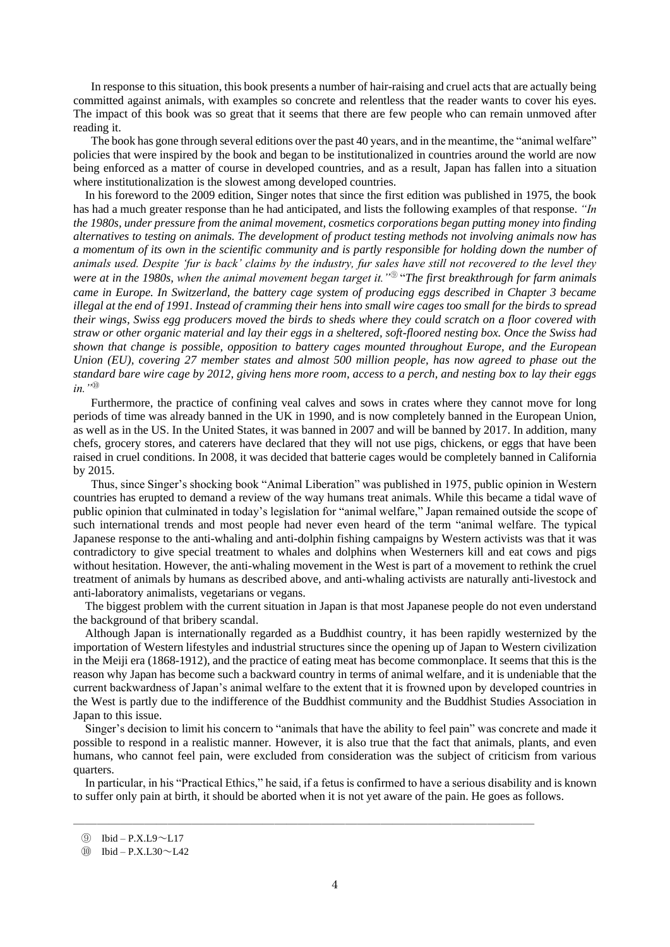In response to this situation, this book presents a number of hair-raising and cruel acts that are actually being committed against animals, with examples so concrete and relentless that the reader wants to cover his eyes. The impact of this book was so great that it seems that there are few people who can remain unmoved after reading it.

The book has gone through several editions over the past 40 years, and in the meantime, the "animal welfare" policies that were inspired by the book and began to be institutionalized in countries around the world are now being enforced as a matter of course in developed countries, and as a result, Japan has fallen into a situation where institutionalization is the slowest among developed countries.

In his foreword to the 2009 edition, Singer notes that since the first edition was published in 1975, the book has had a much greater response than he had anticipated, and lists the following examples of that response. *"In the 1980s, under pressure from the animal movement, cosmetics corporations began putting money into finding alternatives to testing on animals. The development of product testing methods not involving animals now has a momentum of its own in the scientific community and is partly responsible for holding down the number of animals used. Despite 'fur is back' claims by the industry, fur sales have still not recovered to the level they were at in the 1980s, when the animal movement began target it."*<sup>⑨</sup> "*The first breakthrough for farm animals came in Europe. In Switzerland, the battery cage system of producing eggs described in Chapter 3 became illegal at the end of 1991. Instead of cramming their hens into small wire cages too small for the birds to spread their wings, Swiss egg producers moved the birds to sheds where they could scratch on a floor covered with straw or other organic material and lay their eggs in a sheltered, soft-floored nesting box. Once the Swiss had shown that change is possible, opposition to battery cages mounted throughout Europe, and the European Union (EU), covering 27 member states and almost 500 million people, has now agreed to phase out the standard bare wire cage by 2012, giving hens more room, access to a perch, and nesting box to lay their eggs in."*<sup>⑩</sup>

Furthermore, the practice of confining veal calves and sows in crates where they cannot move for long periods of time was already banned in the UK in 1990, and is now completely banned in the European Union, as well as in the US. In the United States, it was banned in 2007 and will be banned by 2017. In addition, many chefs, grocery stores, and caterers have declared that they will not use pigs, chickens, or eggs that have been raised in cruel conditions. In 2008, it was decided that batterie cages would be completely banned in California by 2015.

Thus, since Singer's shocking book "Animal Liberation" was published in 1975, public opinion in Western countries has erupted to demand a review of the way humans treat animals. While this became a tidal wave of public opinion that culminated in today's legislation for "animal welfare," Japan remained outside the scope of such international trends and most people had never even heard of the term "animal welfare. The typical Japanese response to the anti-whaling and anti-dolphin fishing campaigns by Western activists was that it was contradictory to give special treatment to whales and dolphins when Westerners kill and eat cows and pigs without hesitation. However, the anti-whaling movement in the West is part of a movement to rethink the cruel treatment of animals by humans as described above, and anti-whaling activists are naturally anti-livestock and anti-laboratory animalists, vegetarians or vegans.

The biggest problem with the current situation in Japan is that most Japanese people do not even understand the background of that bribery scandal.

Although Japan is internationally regarded as a Buddhist country, it has been rapidly westernized by the importation of Western lifestyles and industrial structures since the opening up of Japan to Western civilization in the Meiji era (1868-1912), and the practice of eating meat has become commonplace. It seems that this is the reason why Japan has become such a backward country in terms of animal welfare, and it is undeniable that the current backwardness of Japan's animal welfare to the extent that it is frowned upon by developed countries in the West is partly due to the indifference of the Buddhist community and the Buddhist Studies Association in Japan to this issue.

Singer's decision to limit his concern to "animals that have the ability to feel pain" was concrete and made it possible to respond in a realistic manner. However, it is also true that the fact that animals, plants, and even humans, who cannot feel pain, were excluded from consideration was the subject of criticism from various quarters.

In particular, in his "Practical Ethics," he said, if a fetus is confirmed to have a serious disability and is known to suffer only pain at birth, it should be aborted when it is not yet aware of the pain. He goes as follows.

―――――――――――――――――――――――――――――――――――――――

 $\circled{9}$  Ibid – P.X.L9 $\sim$ L17

 $\textcircled{10}$  Ibid – P.X.L30 $\sim$ L42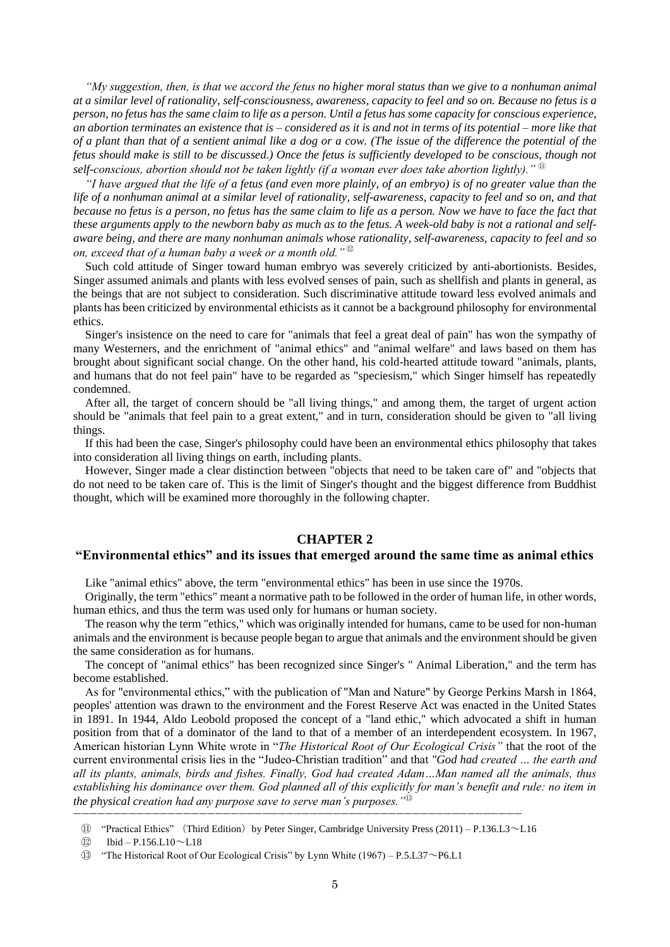*"My suggestion, then, is that we accord the fetus no higher moral status than we give to a nonhuman animal at a similar level of rationality, self-consciousness, awareness, capacity to feel and so on. Because no fetus is a person, no fetus has the same claim to life as a person. Until a fetus has some capacity for conscious experience, an abortion terminates an existence that is – considered as it is and not in terms of its potential – more like that of a plant than that of a sentient animal like a dog or a cow. (The issue of the difference the potential of the fetus should make is still to be discussed.) Once the fetus is sufficiently developed to be conscious, though not self-conscious, abortion should not be taken lightly (if a woman ever does take abortion lightly)."* <sup>⑪</sup>

*"I have argued that the life of a fetus (and even more plainly, of an embryo) is of no greater value than the life of a nonhuman animal at a similar level of rationality, self-awareness, capacity to feel and so on, and that because no fetus is a person, no fetus has the same claim to life as a person. Now we have to face the fact that these arguments apply to the newborn baby as much as to the fetus. A week-old baby is not a rational and selfaware being, and there are many nonhuman animals whose rationality, self-awareness, capacity to feel and so on, exceed that of a human baby a week or a month old."* <sup>⑫</sup>

Such cold attitude of Singer toward human embryo was severely criticized by anti-abortionists. Besides, Singer assumed animals and plants with less evolved senses of pain, such as shellfish and plants in general, as the beings that are not subject to consideration. Such discriminative attitude toward less evolved animals and plants has been criticized by environmental ethicists as it cannot be a background philosophy for environmental ethics.

Singer's insistence on the need to care for "animals that feel a great deal of pain" has won the sympathy of many Westerners, and the enrichment of "animal ethics" and "animal welfare" and laws based on them has brought about significant social change. On the other hand, his cold-hearted attitude toward "animals, plants, and humans that do not feel pain" have to be regarded as "speciesism," which Singer himself has repeatedly condemned.

After all, the target of concern should be "all living things," and among them, the target of urgent action should be "animals that feel pain to a great extent," and in turn, consideration should be given to "all living things.

If this had been the case, Singer's philosophy could have been an environmental ethics philosophy that takes into consideration all living things on earth, including plants.

However, Singer made a clear distinction between "objects that need to be taken care of" and "objects that do not need to be taken care of. This is the limit of Singer's thought and the biggest difference from Buddhist thought, which will be examined more thoroughly in the following chapter.

#### **CHAPTER 2**

#### **"Environmental ethics" and its issues that emerged around the same time as animal ethics**

Like "animal ethics" above, the term "environmental ethics" has been in use since the 1970s.

Originally, the term "ethics" meant a normative path to be followed in the order of human life, in other words, human ethics, and thus the term was used only for humans or human society.

The reason why the term "ethics," which was originally intended for humans, came to be used for non-human animals and the environment is because people began to argue that animals and the environment should be given the same consideration as for humans.

The concept of "animal ethics" has been recognized since Singer's " Animal Liberation," and the term has become established.

As for "environmental ethics," with the publication of "Man and Nature" by George Perkins Marsh in 1864, peoples' attention was drawn to the environment and the Forest Reserve Act was enacted in the United States in 1891. In 1944, Aldo Leobold proposed the concept of a "land ethic," which advocated a shift in human position from that of a dominator of the land to that of a member of an interdependent ecosystem. In 1967, American historian Lynn White wrote in "*The Historical Root of Our Ecological Crisis"* that the root of the current environmental crisis lies in the "Judeo-Christian tradition" and that *"God had created … the earth and all its plants, animals, birds and fishes. Finally, God had created Adam…Man named all the animals, thus*  establishing his dominance over them. God planned all of this explicitly for man's benefit and rule: no item in *the physical creation had any purpose save to serve man's purposes."*<sup>⑬</sup>

―――――――――――――――――――――――――――――――――――――――――――――――――――――――――

⑪ "Practical Ethics" (Third Edition)by Peter Singer, Cambridge University Press (2011) – P.136.L3~L16

 $(12)$  Ibid – P.156.L10 $\sim$ L18

⑬ "The Historical Root of Our Ecological Crisis" by Lynn White (1967) – P.5.L37~P6.L1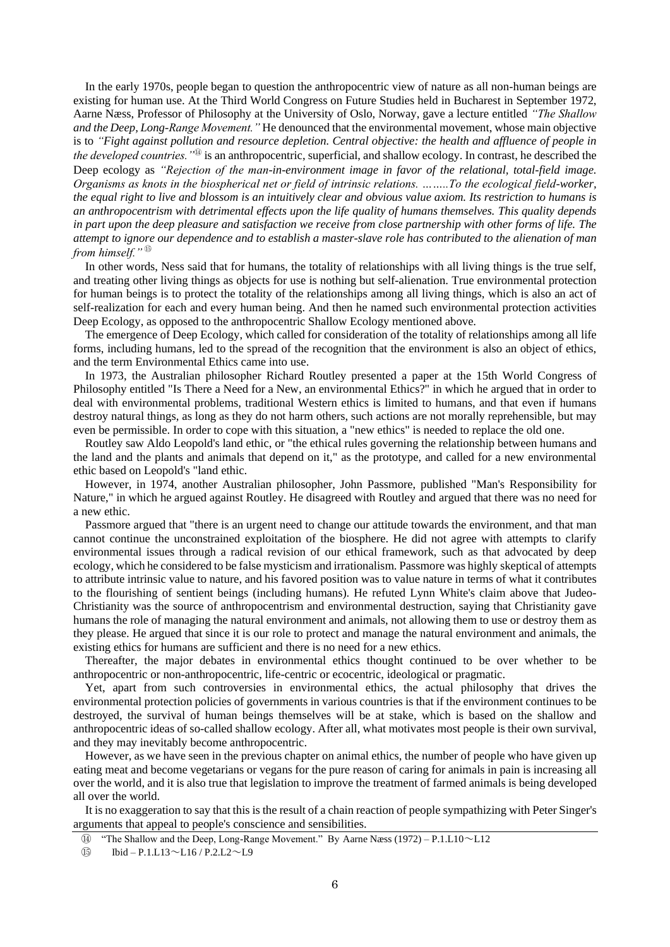In the early 1970s, people began to question the anthropocentric view of nature as all non-human beings are existing for human use. At the Third World Congress on Future Studies held in Bucharest in September 1972, Aarne Næss, Professor of Philosophy at the University of Oslo, Norway, gave a lecture entitled *"The Shallow and the Deep, Long-Range Movement."* He denounced that the environmental movement, whose main objective is to *"Fight against pollution and resource depletion. Central objective: the health and affluence of people in the developed countries."*<sup>⑭</sup> is an anthropocentric, superficial, and shallow ecology. In contrast, he described the Deep ecology as *"Rejection of the man-in-environment image in favor of the relational, total-field image. Organisms as knots in the biospherical net or field of intrinsic relations. ……..To the ecological field-worker, the equal right to live and blossom is an intuitively clear and obvious value axiom. Its restriction to humans is an anthropocentrism with detrimental effects upon the life quality of humans themselves. This quality depends in part upon the deep pleasure and satisfaction we receive from close partnership with other forms of life. The attempt to ignore our dependence and to establish a master-slave role has contributed to the alienation of man from himself."* <sup>⑮</sup>

In other words, Ness said that for humans, the totality of relationships with all living things is the true self, and treating other living things as objects for use is nothing but self-alienation. True environmental protection for human beings is to protect the totality of the relationships among all living things, which is also an act of self-realization for each and every human being. And then he named such environmental protection activities Deep Ecology, as opposed to the anthropocentric Shallow Ecology mentioned above.

The emergence of Deep Ecology, which called for consideration of the totality of relationships among all life forms, including humans, led to the spread of the recognition that the environment is also an object of ethics, and the term Environmental Ethics came into use.

In 1973, the Australian philosopher Richard Routley presented a paper at the 15th World Congress of Philosophy entitled "Is There a Need for a New, an environmental Ethics?" in which he argued that in order to deal with environmental problems, traditional Western ethics is limited to humans, and that even if humans destroy natural things, as long as they do not harm others, such actions are not morally reprehensible, but may even be permissible. In order to cope with this situation, a "new ethics" is needed to replace the old one.

Routley saw Aldo Leopold's land ethic, or "the ethical rules governing the relationship between humans and the land and the plants and animals that depend on it," as the prototype, and called for a new environmental ethic based on Leopold's "land ethic.

However, in 1974, another Australian philosopher, John Passmore, published "Man's Responsibility for Nature," in which he argued against Routley. He disagreed with Routley and argued that there was no need for a new ethic.

Passmore argued that "there is an urgent need to change our attitude towards the environment, and that man cannot continue the unconstrained exploitation of the biosphere. He did not agree with attempts to clarify environmental issues through a radical revision of our ethical framework, such as that advocated by deep ecology, which he considered to be false mysticism and irrationalism. Passmore was highly skeptical of attempts to attribute intrinsic value to nature, and his favored position was to value nature in terms of what it contributes to the flourishing of sentient beings (including humans). He refuted Lynn White's claim above that Judeo-Christianity was the source of anthropocentrism and environmental destruction, saying that Christianity gave humans the role of managing the natural environment and animals, not allowing them to use or destroy them as they please. He argued that since it is our role to protect and manage the natural environment and animals, the existing ethics for humans are sufficient and there is no need for a new ethics.

Thereafter, the major debates in environmental ethics thought continued to be over whether to be anthropocentric or non-anthropocentric, life-centric or ecocentric, ideological or pragmatic.

Yet, apart from such controversies in environmental ethics, the actual philosophy that drives the environmental protection policies of governments in various countries is that if the environment continues to be destroyed, the survival of human beings themselves will be at stake, which is based on the shallow and anthropocentric ideas of so-called shallow ecology. After all, what motivates most people is their own survival, and they may inevitably become anthropocentric.

However, as we have seen in the previous chapter on animal ethics, the number of people who have given up eating meat and become vegetarians or vegans for the pure reason of caring for animals in pain is increasing all over the world, and it is also true that legislation to improve the treatment of farmed animals is being developed all over the world.

It is no exaggeration to say that this is the result of a chain reaction of people sympathizing with Peter Singer's arguments that appeal to people's conscience and sensibilities.

 $\text{(I)} \qquad \text{Ibid} - \text{P.1.L13} \sim \text{L16} / \text{P.2.L2} \sim \text{L9}$ 

⑭ "The Shallow and the Deep, Long-Range Movement." By Aarne Næss (1972) – P.1.L10~L12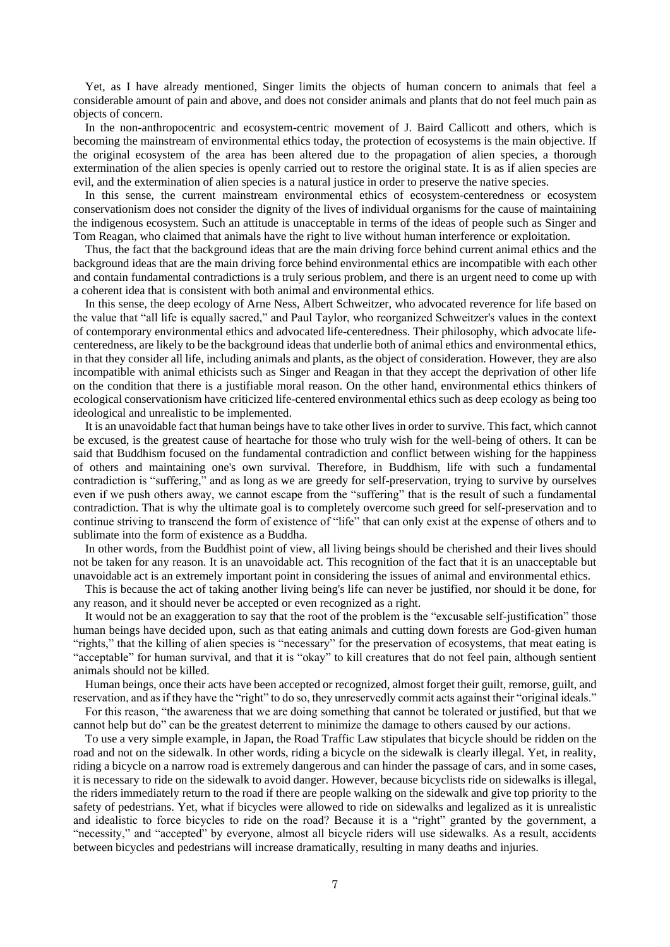Yet, as I have already mentioned, Singer limits the objects of human concern to animals that feel a considerable amount of pain and above, and does not consider animals and plants that do not feel much pain as objects of concern.

In the non-anthropocentric and ecosystem-centric movement of J. Baird Callicott and others, which is becoming the mainstream of environmental ethics today, the protection of ecosystems is the main objective. If the original ecosystem of the area has been altered due to the propagation of alien species, a thorough extermination of the alien species is openly carried out to restore the original state. It is as if alien species are evil, and the extermination of alien species is a natural justice in order to preserve the native species.

In this sense, the current mainstream environmental ethics of ecosystem-centeredness or ecosystem conservationism does not consider the dignity of the lives of individual organisms for the cause of maintaining the indigenous ecosystem. Such an attitude is unacceptable in terms of the ideas of people such as Singer and Tom Reagan, who claimed that animals have the right to live without human interference or exploitation.

Thus, the fact that the background ideas that are the main driving force behind current animal ethics and the background ideas that are the main driving force behind environmental ethics are incompatible with each other and contain fundamental contradictions is a truly serious problem, and there is an urgent need to come up with a coherent idea that is consistent with both animal and environmental ethics.

In this sense, the deep ecology of Arne Ness, Albert Schweitzer, who advocated reverence for life based on the value that "all life is equally sacred," and Paul Taylor, who reorganized Schweitzer's values in the context of contemporary environmental ethics and advocated life-centeredness. Their philosophy, which advocate lifecenteredness, are likely to be the background ideas that underlie both of animal ethics and environmental ethics, in that they consider all life, including animals and plants, as the object of consideration. However, they are also incompatible with animal ethicists such as Singer and Reagan in that they accept the deprivation of other life on the condition that there is a justifiable moral reason. On the other hand, environmental ethics thinkers of ecological conservationism have criticized life-centered environmental ethics such as deep ecology as being too ideological and unrealistic to be implemented.

It is an unavoidable fact that human beings have to take other lives in order to survive. This fact, which cannot be excused, is the greatest cause of heartache for those who truly wish for the well-being of others. It can be said that Buddhism focused on the fundamental contradiction and conflict between wishing for the happiness of others and maintaining one's own survival. Therefore, in Buddhism, life with such a fundamental contradiction is "suffering," and as long as we are greedy for self-preservation, trying to survive by ourselves even if we push others away, we cannot escape from the "suffering" that is the result of such a fundamental contradiction. That is why the ultimate goal is to completely overcome such greed for self-preservation and to continue striving to transcend the form of existence of "life" that can only exist at the expense of others and to sublimate into the form of existence as a Buddha.

In other words, from the Buddhist point of view, all living beings should be cherished and their lives should not be taken for any reason. It is an unavoidable act. This recognition of the fact that it is an unacceptable but unavoidable act is an extremely important point in considering the issues of animal and environmental ethics.

This is because the act of taking another living being's life can never be justified, nor should it be done, for any reason, and it should never be accepted or even recognized as a right.

It would not be an exaggeration to say that the root of the problem is the "excusable self-justification" those human beings have decided upon, such as that eating animals and cutting down forests are God-given human "rights," that the killing of alien species is "necessary" for the preservation of ecosystems, that meat eating is "acceptable" for human survival, and that it is "okay" to kill creatures that do not feel pain, although sentient animals should not be killed.

Human beings, once their acts have been accepted or recognized, almost forget their guilt, remorse, guilt, and reservation, and as if they have the "right" to do so, they unreservedly commit acts against their "original ideals."

For this reason, "the awareness that we are doing something that cannot be tolerated or justified, but that we cannot help but do" can be the greatest deterrent to minimize the damage to others caused by our actions.

To use a very simple example, in Japan, the Road Traffic Law stipulates that bicycle should be ridden on the road and not on the sidewalk. In other words, riding a bicycle on the sidewalk is clearly illegal. Yet, in reality, riding a bicycle on a narrow road is extremely dangerous and can hinder the passage of cars, and in some cases, it is necessary to ride on the sidewalk to avoid danger. However, because bicyclists ride on sidewalks is illegal, the riders immediately return to the road if there are people walking on the sidewalk and give top priority to the safety of pedestrians. Yet, what if bicycles were allowed to ride on sidewalks and legalized as it is unrealistic and idealistic to force bicycles to ride on the road? Because it is a "right" granted by the government, a "necessity," and "accepted" by everyone, almost all bicycle riders will use sidewalks. As a result, accidents between bicycles and pedestrians will increase dramatically, resulting in many deaths and injuries.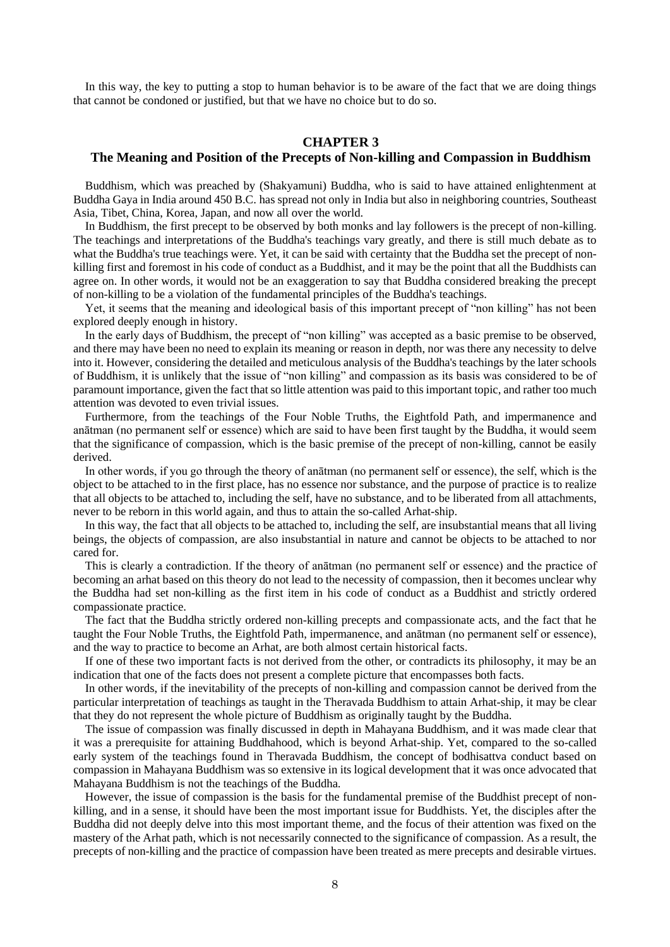In this way, the key to putting a stop to human behavior is to be aware of the fact that we are doing things that cannot be condoned or justified, but that we have no choice but to do so.

## **CHAPTER 3**

### **The Meaning and Position of the Precepts of Non-killing and Compassion in Buddhism**

Buddhism, which was preached by (Shakyamuni) Buddha, who is said to have attained enlightenment at Buddha Gaya in India around 450 B.C. has spread not only in India but also in neighboring countries, Southeast Asia, Tibet, China, Korea, Japan, and now all over the world.

In Buddhism, the first precept to be observed by both monks and lay followers is the precept of non-killing. The teachings and interpretations of the Buddha's teachings vary greatly, and there is still much debate as to what the Buddha's true teachings were. Yet, it can be said with certainty that the Buddha set the precept of nonkilling first and foremost in his code of conduct as a Buddhist, and it may be the point that all the Buddhists can agree on. In other words, it would not be an exaggeration to say that Buddha considered breaking the precept of non-killing to be a violation of the fundamental principles of the Buddha's teachings.

Yet, it seems that the meaning and ideological basis of this important precept of "non killing" has not been explored deeply enough in history.

In the early days of Buddhism, the precept of "non killing" was accepted as a basic premise to be observed, and there may have been no need to explain its meaning or reason in depth, nor was there any necessity to delve into it. However, considering the detailed and meticulous analysis of the Buddha's teachings by the later schools of Buddhism, it is unlikely that the issue of "non killing" and compassion as its basis was considered to be of paramount importance, given the fact that so little attention was paid to this important topic, and rather too much attention was devoted to even trivial issues.

Furthermore, from the teachings of the Four Noble Truths, the Eightfold Path, and impermanence and anātman (no permanent self or essence) which are said to have been first taught by the Buddha, it would seem that the significance of compassion, which is the basic premise of the precept of non-killing, cannot be easily derived.

In other words, if you go through the theory of anātman (no permanent self or essence), the self, which is the object to be attached to in the first place, has no essence nor substance, and the purpose of practice is to realize that all objects to be attached to, including the self, have no substance, and to be liberated from all attachments, never to be reborn in this world again, and thus to attain the so-called Arhat-ship.

In this way, the fact that all objects to be attached to, including the self, are insubstantial means that all living beings, the objects of compassion, are also insubstantial in nature and cannot be objects to be attached to nor cared for.

This is clearly a contradiction. If the theory of anātman (no permanent self or essence) and the practice of becoming an arhat based on this theory do not lead to the necessity of compassion, then it becomes unclear why the Buddha had set non-killing as the first item in his code of conduct as a Buddhist and strictly ordered compassionate practice.

The fact that the Buddha strictly ordered non-killing precepts and compassionate acts, and the fact that he taught the Four Noble Truths, the Eightfold Path, impermanence, and anātman (no permanent self or essence), and the way to practice to become an Arhat, are both almost certain historical facts.

If one of these two important facts is not derived from the other, or contradicts its philosophy, it may be an indication that one of the facts does not present a complete picture that encompasses both facts.

In other words, if the inevitability of the precepts of non-killing and compassion cannot be derived from the particular interpretation of teachings as taught in the Theravada Buddhism to attain Arhat-ship, it may be clear that they do not represent the whole picture of Buddhism as originally taught by the Buddha.

The issue of compassion was finally discussed in depth in Mahayana Buddhism, and it was made clear that it was a prerequisite for attaining Buddhahood, which is beyond Arhat-ship. Yet, compared to the so-called early system of the teachings found in Theravada Buddhism, the concept of bodhisattva conduct based on compassion in Mahayana Buddhism was so extensive in its logical development that it was once advocated that Mahayana Buddhism is not the teachings of the Buddha.

However, the issue of compassion is the basis for the fundamental premise of the Buddhist precept of nonkilling, and in a sense, it should have been the most important issue for Buddhists. Yet, the disciples after the Buddha did not deeply delve into this most important theme, and the focus of their attention was fixed on the mastery of the Arhat path, which is not necessarily connected to the significance of compassion. As a result, the precepts of non-killing and the practice of compassion have been treated as mere precepts and desirable virtues.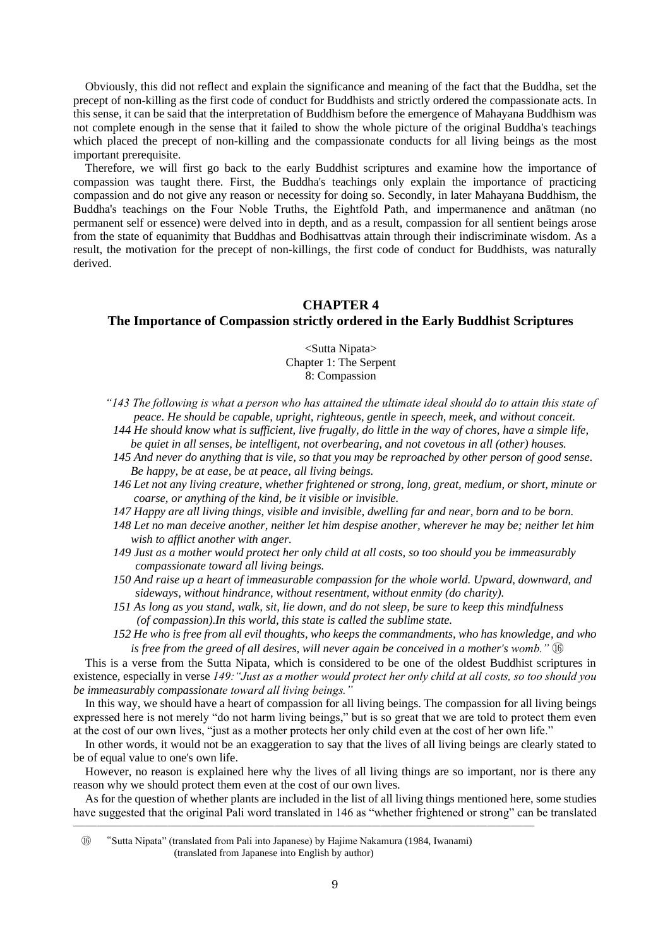Obviously, this did not reflect and explain the significance and meaning of the fact that the Buddha, set the precept of non-killing as the first code of conduct for Buddhists and strictly ordered the compassionate acts. In this sense, it can be said that the interpretation of Buddhism before the emergence of Mahayana Buddhism was not complete enough in the sense that it failed to show the whole picture of the original Buddha's teachings which placed the precept of non-killing and the compassionate conducts for all living beings as the most important prerequisite.

Therefore, we will first go back to the early Buddhist scriptures and examine how the importance of compassion was taught there. First, the Buddha's teachings only explain the importance of practicing compassion and do not give any reason or necessity for doing so. Secondly, in later Mahayana Buddhism, the Buddha's teachings on the Four Noble Truths, the Eightfold Path, and impermanence and anātman (no permanent self or essence) were delved into in depth, and as a result, compassion for all sentient beings arose from the state of equanimity that Buddhas and Bodhisattvas attain through their indiscriminate wisdom. As a result, the motivation for the precept of non-killings, the first code of conduct for Buddhists, was naturally derived.

## **CHAPTER 4**

### **The Importance of Compassion strictly ordered in the Early Buddhist Scriptures**

<Sutta Nipata> Chapter 1: The Serpent 8: Compassion

*"143 The following is what a person who has attained the ultimate ideal should do to attain this state of peace. He should be capable, upright, righteous, gentle in speech, meek, and without conceit.*

*144 He should know what is sufficient, live frugally, do little in the way of chores, have a simple life, be quiet in all senses, be intelligent, not overbearing, and not covetous in all (other) houses.*

- *145 And never do anything that is vile, so that you may be reproached by other person of good sense. Be happy, be at ease, be at peace, all living beings.*
- *146 Let not any living creature, whether frightened or strong, long, great, medium, or short, minute or coarse, or anything of the kind, be it visible or invisible.*
- *147 Happy are all living things, visible and invisible, dwelling far and near, born and to be born.*
- *148 Let no man deceive another, neither let him despise another, wherever he may be; neither let him wish to afflict another with anger.*
- *149 Just as a mother would protect her only child at all costs, so too should you be immeasurably compassionate toward all living beings.*
- *150 And raise up a heart of immeasurable compassion for the whole world. Upward, downward, and sideways, without hindrance, without resentment, without enmity (do charity).*
- *151 As long as you stand, walk, sit, lie down, and do not sleep, be sure to keep this mindfulness (of compassion).In this world, this state is called the sublime state.*
- *152 He who is free from all evil thoughts, who keeps the commandments, who has knowledge, and who is free from the greed of all desires, will never again be conceived in a mother's womb.*"  $\mathbb{G}$

This is a verse from the Sutta Nipata, which is considered to be one of the oldest Buddhist scriptures in existence, especially in verse *149:"Just as a mother would protect her only child at all costs, so too should you be immeasurably compassionate toward all living beings."*

In this way, we should have a heart of compassion for all living beings. The compassion for all living beings expressed here is not merely "do not harm living beings," but is so great that we are told to protect them even at the cost of our own lives, "just as a mother protects her only child even at the cost of her own life."

In other words, it would not be an exaggeration to say that the lives of all living beings are clearly stated to be of equal value to one's own life.

However, no reason is explained here why the lives of all living things are so important, nor is there any reason why we should protect them even at the cost of our own lives.

As for the question of whether plants are included in the list of all living things mentioned here, some studies have suggested that the original Pali word translated in 146 as "whether frightened or strong" can be translated

⑯ "Sutta Nipata" (translated from Pali into Japanese) by Hajime Nakamura (1984, Iwanami) (translated from Japanese into English by author)

―――――――――――――――――――――――――――――――――――――――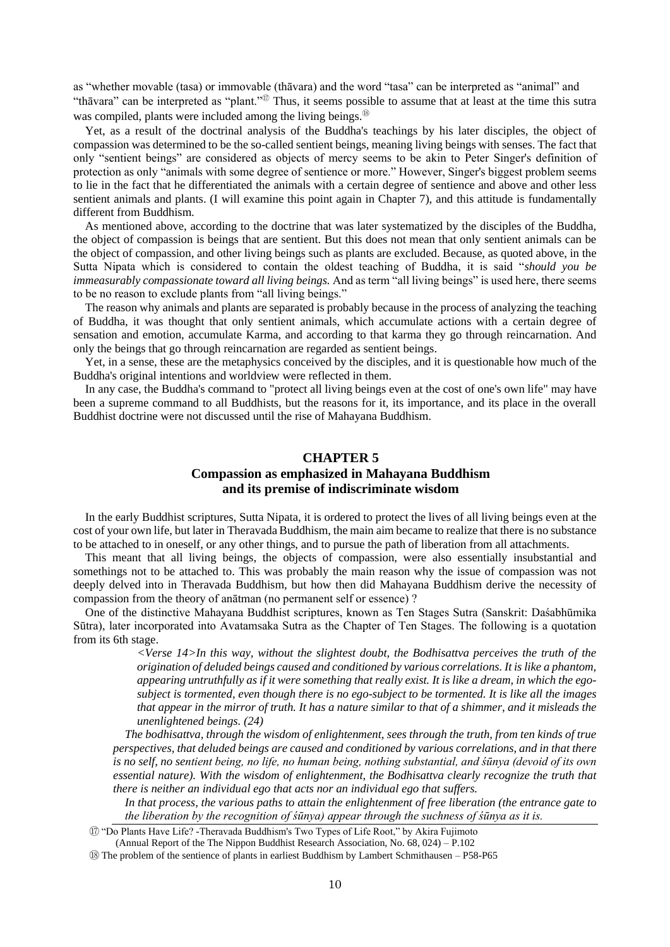as "whether movable (tasa) or immovable (thāvara) and the word "tasa" can be interpreted as "animal" and "thāvara" can be interpreted as "plant."<sup>⑰</sup> Thus, it seems possible to assume that at least at the time this sutra was compiled, plants were included among the living beings.<sup>®</sup>

Yet, as a result of the doctrinal analysis of the Buddha's teachings by his later disciples, the object of compassion was determined to be the so-called sentient beings, meaning living beings with senses. The fact that only "sentient beings" are considered as objects of mercy seems to be akin to Peter Singer's definition of protection as only "animals with some degree of sentience or more." However, Singer's biggest problem seems to lie in the fact that he differentiated the animals with a certain degree of sentience and above and other less sentient animals and plants. (I will examine this point again in Chapter 7), and this attitude is fundamentally different from Buddhism.

As mentioned above, according to the doctrine that was later systematized by the disciples of the Buddha, the object of compassion is beings that are sentient. But this does not mean that only sentient animals can be the object of compassion, and other living beings such as plants are excluded. Because, as quoted above, in the Sutta Nipata which is considered to contain the oldest teaching of Buddha, it is said "*should you be immeasurably compassionate toward all living beings.* And as term "all living beings" is used here, there seems to be no reason to exclude plants from "all living beings."

The reason why animals and plants are separated is probably because in the process of analyzing the teaching of Buddha, it was thought that only sentient animals, which accumulate actions with a certain degree of sensation and emotion, accumulate Karma, and according to that karma they go through reincarnation. And only the beings that go through reincarnation are regarded as sentient beings.

Yet, in a sense, these are the metaphysics conceived by the disciples, and it is questionable how much of the Buddha's original intentions and worldview were reflected in them.

In any case, the Buddha's command to "protect all living beings even at the cost of one's own life" may have been a supreme command to all Buddhists, but the reasons for it, its importance, and its place in the overall Buddhist doctrine were not discussed until the rise of Mahayana Buddhism.

## **CHAPTER 5 Compassion as emphasized in Mahayana Buddhism and its premise of indiscriminate wisdom**

In the early Buddhist scriptures, Sutta Nipata, it is ordered to protect the lives of all living beings even at the cost of your own life, but later in Theravada Buddhism, the main aim became to realize that there is no substance to be attached to in oneself, or any other things, and to pursue the path of liberation from all attachments.

This meant that all living beings, the objects of compassion, were also essentially insubstantial and somethings not to be attached to. This was probably the main reason why the issue of compassion was not deeply delved into in Theravada Buddhism, but how then did Mahayana Buddhism derive the necessity of compassion from the theory of anātman (no permanent self or essence) ?

One of the distinctive Mahayana Buddhist scriptures, known as Ten Stages Sutra (Sanskrit: Daśabhūmika Sūtra), later incorporated into Avatamsaka Sutra as the Chapter of Ten Stages. The following is a quotation from its 6th stage.

> *<Verse 14>In this way, without the slightest doubt, the Bodhisattva perceives the truth of the origination of deluded beings caused and conditioned by various correlations. It is like a phantom, appearing untruthfully as if it were something that really exist. It is like a dream, in which the egosubject is tormented, even though there is no ego-subject to be tormented. It is like all the images that appear in the mirror of truth. It has a nature similar to that of a shimmer, and it misleads the unenlightened beings. (24)*

*The bodhisattva, through the wisdom of enlightenment, sees through the truth, from ten kinds of true perspectives, that deluded beings are caused and conditioned by various correlations, and in that there is no self, no sentient being, no life, no human being, nothing substantial, and śūnya (devoid of its own essential nature). With the wisdom of enlightenment, the Bodhisattva clearly recognize the truth that there is neither an individual ego that acts nor an individual ego that suffers.* 

*In that process, the various paths to attain the enlightenment of free liberation (the entrance gate to the liberation by the recognition of śūnya) appear through the suchness of śūnya as it is.*

⑰ "Do Plants Have Life? -Theravada Buddhism's Two Types of Life Root," by Akira Fujimoto (Annual Report of the The Nippon Buddhist Research Association, No. 68, 024) – P.102

⑱ The problem of the sentience of plants in earliest Buddhism by Lambert Schmithausen – P58-P65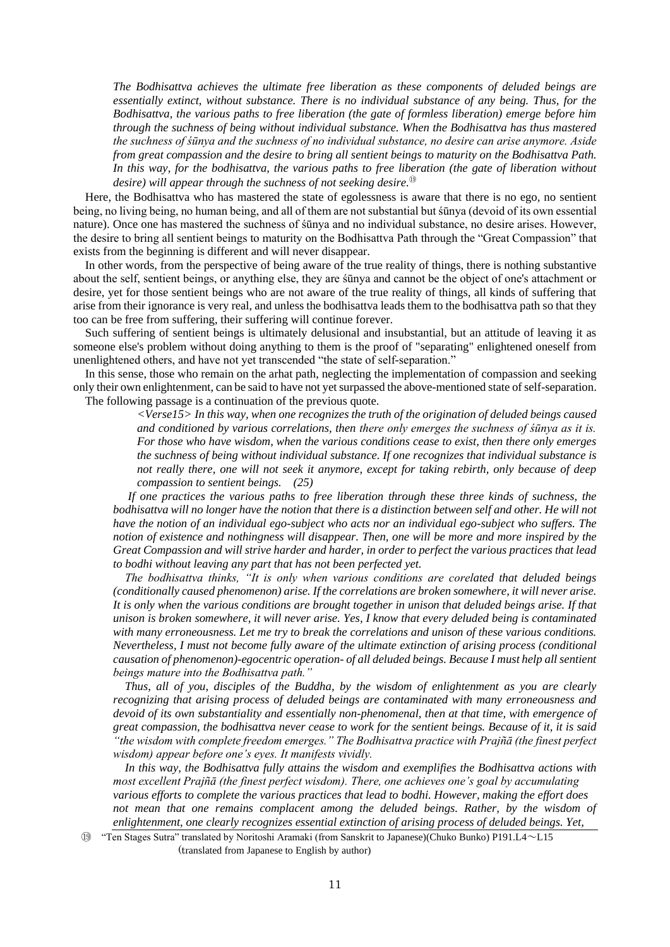*The Bodhisattva achieves the ultimate free liberation as these components of deluded beings are essentially extinct, without substance. There is no individual substance of any being. Thus, for the Bodhisattva, the various paths to free liberation (the gate of formless liberation) emerge before him through the suchness of being without individual substance. When the Bodhisattva has thus mastered the suchness of śūnya and the suchness of no individual substance, no desire can arise anymore. Aside from great compassion and the desire to bring all sentient beings to maturity on the Bodhisattva Path. In this way, for the bodhisattva, the various paths to free liberation (the gate of liberation without desire) will appear through the suchness of not seeking desire.*<sup>⑲</sup>

Here, the Bodhisattva who has mastered the state of egolessness is aware that there is no ego, no sentient being, no living being, no human being, and all of them are not substantial but śūnya (devoid of its own essential nature). Once one has mastered the suchness of śūnya and no individual substance, no desire arises. However, the desire to bring all sentient beings to maturity on the Bodhisattva Path through the "Great Compassion" that exists from the beginning is different and will never disappear.

In other words, from the perspective of being aware of the true reality of things, there is nothing substantive about the self, sentient beings, or anything else, they are śūnya and cannot be the object of one's attachment or desire, yet for those sentient beings who are not aware of the true reality of things, all kinds of suffering that arise from their ignorance is very real, and unless the bodhisattva leads them to the bodhisattva path so that they too can be free from suffering, their suffering will continue forever.

Such suffering of sentient beings is ultimately delusional and insubstantial, but an attitude of leaving it as someone else's problem without doing anything to them is the proof of "separating" enlightened oneself from unenlightened others, and have not yet transcended "the state of self-separation."

In this sense, those who remain on the arhat path, neglecting the implementation of compassion and seeking only their own enlightenment, can be said to have not yet surpassed the above-mentioned state of self-separation. The following passage is a continuation of the previous quote.

> *<Verse15> In this way, when one recognizes the truth of the origination of deluded beings caused and conditioned by various correlations, then there only emerges the suchness of śūnya as it is. For those who have wisdom, when the various conditions cease to exist, then there only emerges the suchness of being without individual substance. If one recognizes that individual substance is not really there, one will not seek it anymore, except for taking rebirth, only because of deep compassion to sentient beings. (25)*

*If one practices the various paths to free liberation through these three kinds of suchness, the bodhisattva will no longer have the notion that there is a distinction between self and other. He will not have the notion of an individual ego-subject who acts nor an individual ego-subject who suffers. The notion of existence and nothingness will disappear. Then, one will be more and more inspired by the Great Compassion and will strive harder and harder, in order to perfect the various practices that lead to bodhi without leaving any part that has not been perfected yet.*

*The bodhisattva thinks, "It is only when various conditions are corelated that deluded beings (conditionally caused phenomenon) arise. If the correlations are broken somewhere, it will never arise. It is only when the various conditions are brought together in unison that deluded beings arise. If that unison is broken somewhere, it will never arise. Yes, I know that every deluded being is contaminated with many erroneousness. Let me try to break the correlations and unison of these various conditions. Nevertheless, I must not become fully aware of the ultimate extinction of arising process (conditional causation of phenomenon)-egocentric operation- of all deluded beings. Because I must help all sentient beings mature into the Bodhisattva path."* 

*Thus, all of you, disciples of the Buddha, by the wisdom of enlightenment as you are clearly recognizing that arising process of deluded beings are contaminated with many erroneousness and devoid of its own substantiality and essentially non-phenomenal, then at that time, with emergence of great compassion, the bodhisattva never cease to work for the sentient beings. Because of it, it is said "the wisdom with complete freedom emerges." The Bodhisattva practice with Prajñā (the finest perfect wisdom) appear before one's eyes. It manifests vividly.* 

*In this way, the Bodhisattva fully attains the wisdom and exemplifies the Bodhisattva actions with most excellent Prajñā (the finest perfect wisdom). There, one achieves one's goal by accumulating various efforts to complete the various practices that lead to bodhi. However, making the effort does* not mean that one remains complacent among the deluded beings. Rather, by the wisdom of *enlightenment, one clearly recognizes essential extinction of arising process of deluded beings. Yet,* 

⑲ "Ten Stages Sutra" translated by Noritoshi Aramaki (from Sanskrit to Japanese)(Chuko Bunko) P191.L4~L15 (translated from Japanese to English by author)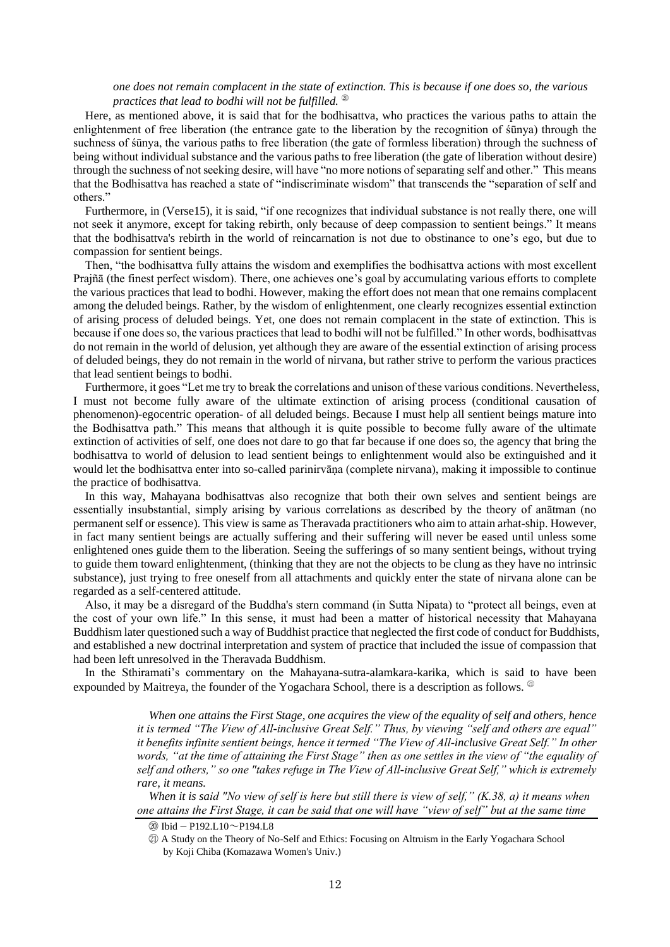#### *one does not remain complacent in the state of extinction. This is because if one does so, the various practices that lead to bodhi will not be fulfilled.* <sup> $\circledast$ </sup>

Here, as mentioned above, it is said that for the bodhisattva, who practices the various paths to attain the enlightenment of free liberation (the entrance gate to the liberation by the recognition of śūnya) through the suchness of śūnya, the various paths to free liberation (the gate of formless liberation) through the suchness of being without individual substance and the various paths to free liberation (the gate of liberation without desire) through the suchness of not seeking desire, will have "no more notions of separating self and other." This means that the Bodhisattva has reached a state of "indiscriminate wisdom" that transcends the "separation of self and others."

Furthermore, in (Verse15), it is said, "if one recognizes that individual substance is not really there, one will not seek it anymore, except for taking rebirth, only because of deep compassion to sentient beings." It means that the bodhisattva's rebirth in the world of reincarnation is not due to obstinance to one's ego, but due to compassion for sentient beings.

Then, "the bodhisattva fully attains the wisdom and exemplifies the bodhisattva actions with most excellent Prajñā (the finest perfect wisdom). There, one achieves one's goal by accumulating various efforts to complete the various practices that lead to bodhi. However, making the effort does not mean that one remains complacent among the deluded beings. Rather, by the wisdom of enlightenment, one clearly recognizes essential extinction of arising process of deluded beings. Yet, one does not remain complacent in the state of extinction. This is because if one does so, the various practices that lead to bodhi will not be fulfilled." In other words, bodhisattvas do not remain in the world of delusion, yet although they are aware of the essential extinction of arising process of deluded beings, they do not remain in the world of nirvana, but rather strive to perform the various practices that lead sentient beings to bodhi.

Furthermore, it goes "Let me try to break the correlations and unison of these various conditions. Nevertheless, I must not become fully aware of the ultimate extinction of arising process (conditional causation of phenomenon)-egocentric operation- of all deluded beings. Because I must help all sentient beings mature into the Bodhisattva path." This means that although it is quite possible to become fully aware of the ultimate extinction of activities of self, one does not dare to go that far because if one does so, the agency that bring the bodhisattva to world of delusion to lead sentient beings to enlightenment would also be extinguished and it would let the bodhisattva enter into so-called parinirvāṇa (complete nirvana), making it impossible to continue the practice of bodhisattva.

In this way, Mahayana bodhisattvas also recognize that both their own selves and sentient beings are essentially insubstantial, simply arising by various correlations as described by the theory of anātman (no permanent self or essence). This view is same as Theravada practitioners who aim to attain arhat-ship. However, in fact many sentient beings are actually suffering and their suffering will never be eased until unless some enlightened ones guide them to the liberation. Seeing the sufferings of so many sentient beings, without trying to guide them toward enlightenment, (thinking that they are not the objects to be clung as they have no intrinsic substance), just trying to free oneself from all attachments and quickly enter the state of nirvana alone can be regarded as a self-centered attitude.

Also, it may be a disregard of the Buddha's stern command (in Sutta Nipata) to "protect all beings, even at the cost of your own life." In this sense, it must had been a matter of historical necessity that Mahayana Buddhism later questioned such a way of Buddhist practice that neglected the first code of conduct for Buddhists, and established a new doctrinal interpretation and system of practice that included the issue of compassion that had been left unresolved in the Theravada Buddhism.

In the Sthiramati's commentary on the Mahayana-sutra-alamkara-karika, which is said to have been expounded by Maitreya, the founder of the Yogachara School, there is a description as follows.  $^{\circledR}$ 

> *When one attains the First Stage, one acquires the view of the equality of self and others, hence it is termed "The View of All-inclusive Great Self." Thus, by viewing "self and others are equal" it benefits infinite sentient beings, hence it termed "The View of All-inclusive Great Self." In other words, "at the time of attaining the First Stage" then as one settles in the view of "the equality of self and others," so one "takes refuge in The View of All-inclusive Great Self," which is extremely rare, it means.*

*When it is said "No view of self is here but still there is view of self," (K.38, a) it means when one attains the First Stage, it can be said that one will have "view of self" but at the same time*

⑳ Ibid – P192.L10~P194.L8

㉑ A Study on the Theory of No-Self and Ethics: Focusing on Altruism in the Early Yogachara School by Koji Chiba (Komazawa Women's Univ.)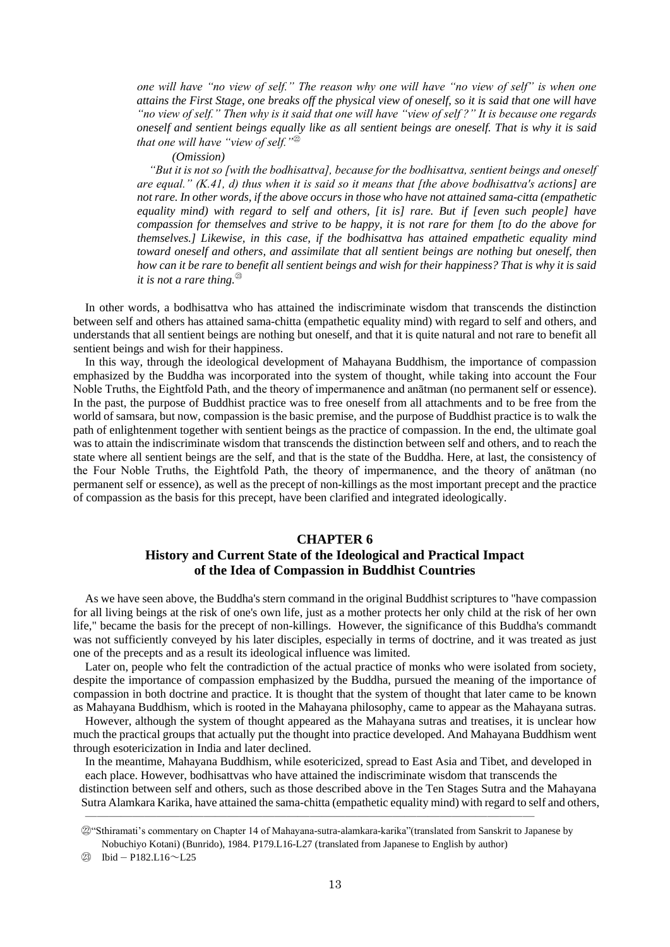*one will have "no view of self." The reason why one will have "no view of self" is when one attains the First Stage, one breaks off the physical view of oneself, so it is said that one will have "no view of self." Then why is it said that one will have "view of self ?" It is because one regards oneself and sentient beings equally like as all sentient beings are oneself. That is why it is said that one will have "view of self."*<sup>㉒</sup>

*(Omission)*

*"But it is not so [with the bodhisattva], because for the bodhisattva, sentient beings and oneself are equal." (K.41, d) thus when it is said so it means that [the above bodhisattva's actions] are not rare. In other words, if the above occurs in those who have not attained sama-citta (empathetic equality mind) with regard to self and others, [it is] rare. But if [even such people] have compassion for themselves and strive to be happy, it is not rare for them [to do the above for themselves.] Likewise, in this case, if the bodhisattva has attained empathetic equality mind toward oneself and others, and assimilate that all sentient beings are nothing but oneself, then how can it be rare to benefit all sentient beings and wish for their happiness? That is why it is said it is not a rare thing.*<sup>㉓</sup>

In other words, a bodhisattva who has attained the indiscriminate wisdom that transcends the distinction between self and others has attained sama-chitta (empathetic equality mind) with regard to self and others, and understands that all sentient beings are nothing but oneself, and that it is quite natural and not rare to benefit all sentient beings and wish for their happiness.

In this way, through the ideological development of Mahayana Buddhism, the importance of compassion emphasized by the Buddha was incorporated into the system of thought, while taking into account the Four Noble Truths, the Eightfold Path, and the theory of impermanence and anātman (no permanent self or essence). In the past, the purpose of Buddhist practice was to free oneself from all attachments and to be free from the world of samsara, but now, compassion is the basic premise, and the purpose of Buddhist practice is to walk the path of enlightenment together with sentient beings as the practice of compassion. In the end, the ultimate goal was to attain the indiscriminate wisdom that transcends the distinction between self and others, and to reach the state where all sentient beings are the self, and that is the state of the Buddha. Here, at last, the consistency of the Four Noble Truths, the Eightfold Path, the theory of impermanence, and the theory of anātman (no permanent self or essence), as well as the precept of non-killings as the most important precept and the practice of compassion as the basis for this precept, have been clarified and integrated ideologically.

## **CHAPTER 6 History and Current State of the Ideological and Practical Impact of the Idea of Compassion in Buddhist Countries**

As we have seen above, the Buddha's stern command in the original Buddhist scriptures to "have compassion for all living beings at the risk of one's own life, just as a mother protects her only child at the risk of her own life," became the basis for the precept of non-killings. However, the significance of this Buddha's commandt was not sufficiently conveyed by his later disciples, especially in terms of doctrine, and it was treated as just one of the precepts and as a result its ideological influence was limited.

Later on, people who felt the contradiction of the actual practice of monks who were isolated from society, despite the importance of compassion emphasized by the Buddha, pursued the meaning of the importance of compassion in both doctrine and practice. It is thought that the system of thought that later came to be known as Mahayana Buddhism, which is rooted in the Mahayana philosophy, came to appear as the Mahayana sutras.

However, although the system of thought appeared as the Mahayana sutras and treatises, it is unclear how much the practical groups that actually put the thought into practice developed. And Mahayana Buddhism went through esotericization in India and later declined.

In the meantime, Mahayana Buddhism, while esotericized, spread to East Asia and Tibet, and developed in each place. However, bodhisattvas who have attained the indiscriminate wisdom that transcends the distinction between self and others, such as those described above in the Ten Stages Sutra and the Mahayana Sutra Alamkara Karika, have attained the sama-chitta (empathetic equality mind) with regard to self and others,

――――――――――――――――――――――――――――――――――――――

㉒"Sthiramati's commentary on Chapter 14 of Mahayana-sutra-alamkara-karika"(translated from Sanskrit to Japanese by Nobuchiyo Kotani) (Bunrido), 1984. P179.L16-L27 (translated from Japanese to English by author)

㉓ Ibid – P182.L16~L25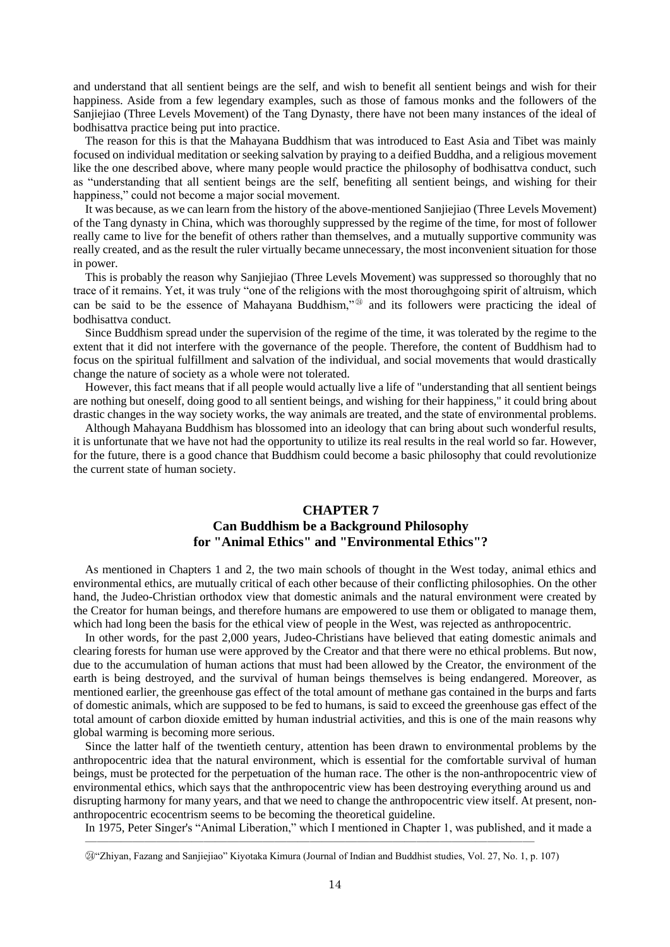and understand that all sentient beings are the self, and wish to benefit all sentient beings and wish for their happiness. Aside from a few legendary examples, such as those of famous monks and the followers of the Sanjiejiao (Three Levels Movement) of the Tang Dynasty, there have not been many instances of the ideal of bodhisattva practice being put into practice.

The reason for this is that the Mahayana Buddhism that was introduced to East Asia and Tibet was mainly focused on individual meditation or seeking salvation by praying to a deified Buddha, and a religious movement like the one described above, where many people would practice the philosophy of bodhisattva conduct, such as "understanding that all sentient beings are the self, benefiting all sentient beings, and wishing for their happiness," could not become a major social movement.

It was because, as we can learn from the history of the above-mentioned Sanjiejiao (Three Levels Movement) of the Tang dynasty in China, which was thoroughly suppressed by the regime of the time, for most of follower really came to live for the benefit of others rather than themselves, and a mutually supportive community was really created, and as the result the ruler virtually became unnecessary, the most inconvenient situation for those in power.

This is probably the reason why Sanjiejiao (Three Levels Movement) was suppressed so thoroughly that no trace of it remains. Yet, it was truly "one of the religions with the most thoroughgoing spirit of altruism, which can be said to be the essence of Mahayana Buddhism," $\mathcal{D}$  and its followers were practicing the ideal of bodhisattva conduct.

Since Buddhism spread under the supervision of the regime of the time, it was tolerated by the regime to the extent that it did not interfere with the governance of the people. Therefore, the content of Buddhism had to focus on the spiritual fulfillment and salvation of the individual, and social movements that would drastically change the nature of society as a whole were not tolerated.

However, this fact means that if all people would actually live a life of "understanding that all sentient beings are nothing but oneself, doing good to all sentient beings, and wishing for their happiness," it could bring about drastic changes in the way society works, the way animals are treated, and the state of environmental problems.

Although Mahayana Buddhism has blossomed into an ideology that can bring about such wonderful results, it is unfortunate that we have not had the opportunity to utilize its real results in the real world so far. However, for the future, there is a good chance that Buddhism could become a basic philosophy that could revolutionize the current state of human society.

## **CHAPTER 7 Can Buddhism be a Background Philosophy for "Animal Ethics" and "Environmental Ethics"?**

As mentioned in Chapters 1 and 2, the two main schools of thought in the West today, animal ethics and environmental ethics, are mutually critical of each other because of their conflicting philosophies. On the other hand, the Judeo-Christian orthodox view that domestic animals and the natural environment were created by the Creator for human beings, and therefore humans are empowered to use them or obligated to manage them, which had long been the basis for the ethical view of people in the West, was rejected as anthropocentric.

In other words, for the past 2,000 years, Judeo-Christians have believed that eating domestic animals and clearing forests for human use were approved by the Creator and that there were no ethical problems. But now, due to the accumulation of human actions that must had been allowed by the Creator, the environment of the earth is being destroyed, and the survival of human beings themselves is being endangered. Moreover, as mentioned earlier, the greenhouse gas effect of the total amount of methane gas contained in the burps and farts of domestic animals, which are supposed to be fed to humans, is said to exceed the greenhouse gas effect of the total amount of carbon dioxide emitted by human industrial activities, and this is one of the main reasons why global warming is becoming more serious.

Since the latter half of the twentieth century, attention has been drawn to environmental problems by the anthropocentric idea that the natural environment, which is essential for the comfortable survival of human beings, must be protected for the perpetuation of the human race. The other is the non-anthropocentric view of environmental ethics, which says that the anthropocentric view has been destroying everything around us and disrupting harmony for many years, and that we need to change the anthropocentric view itself. At present, nonanthropocentric ecocentrism seems to be becoming the theoretical guideline.

In 1975, Peter Singer's "Animal Liberation," which I mentioned in Chapter 1, was published, and it made a

――――――――――――――――――――――――――――――――――――――

㉔"Zhiyan, Fazang and Sanjiejiao" Kiyotaka Kimura (Journal of Indian and Buddhist studies, Vol. 27, No. 1, p. 107)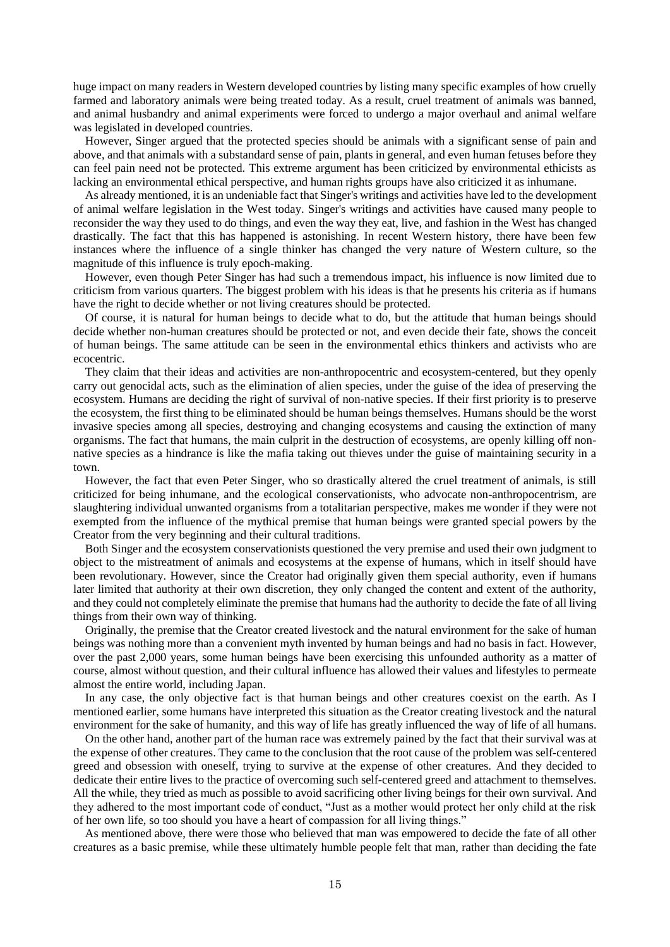huge impact on many readers in Western developed countries by listing many specific examples of how cruelly farmed and laboratory animals were being treated today. As a result, cruel treatment of animals was banned, and animal husbandry and animal experiments were forced to undergo a major overhaul and animal welfare was legislated in developed countries.

However, Singer argued that the protected species should be animals with a significant sense of pain and above, and that animals with a substandard sense of pain, plants in general, and even human fetuses before they can feel pain need not be protected. This extreme argument has been criticized by environmental ethicists as lacking an environmental ethical perspective, and human rights groups have also criticized it as inhumane.

As already mentioned, it is an undeniable fact that Singer's writings and activities have led to the development of animal welfare legislation in the West today. Singer's writings and activities have caused many people to reconsider the way they used to do things, and even the way they eat, live, and fashion in the West has changed drastically. The fact that this has happened is astonishing. In recent Western history, there have been few instances where the influence of a single thinker has changed the very nature of Western culture, so the magnitude of this influence is truly epoch-making.

However, even though Peter Singer has had such a tremendous impact, his influence is now limited due to criticism from various quarters. The biggest problem with his ideas is that he presents his criteria as if humans have the right to decide whether or not living creatures should be protected.

Of course, it is natural for human beings to decide what to do, but the attitude that human beings should decide whether non-human creatures should be protected or not, and even decide their fate, shows the conceit of human beings. The same attitude can be seen in the environmental ethics thinkers and activists who are ecocentric.

They claim that their ideas and activities are non-anthropocentric and ecosystem-centered, but they openly carry out genocidal acts, such as the elimination of alien species, under the guise of the idea of preserving the ecosystem. Humans are deciding the right of survival of non-native species. If their first priority is to preserve the ecosystem, the first thing to be eliminated should be human beings themselves. Humans should be the worst invasive species among all species, destroying and changing ecosystems and causing the extinction of many organisms. The fact that humans, the main culprit in the destruction of ecosystems, are openly killing off nonnative species as a hindrance is like the mafia taking out thieves under the guise of maintaining security in a town.

However, the fact that even Peter Singer, who so drastically altered the cruel treatment of animals, is still criticized for being inhumane, and the ecological conservationists, who advocate non-anthropocentrism, are slaughtering individual unwanted organisms from a totalitarian perspective, makes me wonder if they were not exempted from the influence of the mythical premise that human beings were granted special powers by the Creator from the very beginning and their cultural traditions.

Both Singer and the ecosystem conservationists questioned the very premise and used their own judgment to object to the mistreatment of animals and ecosystems at the expense of humans, which in itself should have been revolutionary. However, since the Creator had originally given them special authority, even if humans later limited that authority at their own discretion, they only changed the content and extent of the authority, and they could not completely eliminate the premise that humans had the authority to decide the fate of all living things from their own way of thinking.

Originally, the premise that the Creator created livestock and the natural environment for the sake of human beings was nothing more than a convenient myth invented by human beings and had no basis in fact. However, over the past 2,000 years, some human beings have been exercising this unfounded authority as a matter of course, almost without question, and their cultural influence has allowed their values and lifestyles to permeate almost the entire world, including Japan.

In any case, the only objective fact is that human beings and other creatures coexist on the earth. As I mentioned earlier, some humans have interpreted this situation as the Creator creating livestock and the natural environment for the sake of humanity, and this way of life has greatly influenced the way of life of all humans.

On the other hand, another part of the human race was extremely pained by the fact that their survival was at the expense of other creatures. They came to the conclusion that the root cause of the problem was self-centered greed and obsession with oneself, trying to survive at the expense of other creatures. And they decided to dedicate their entire lives to the practice of overcoming such self-centered greed and attachment to themselves. All the while, they tried as much as possible to avoid sacrificing other living beings for their own survival. And they adhered to the most important code of conduct, "Just as a mother would protect her only child at the risk of her own life, so too should you have a heart of compassion for all living things."

As mentioned above, there were those who believed that man was empowered to decide the fate of all other creatures as a basic premise, while these ultimately humble people felt that man, rather than deciding the fate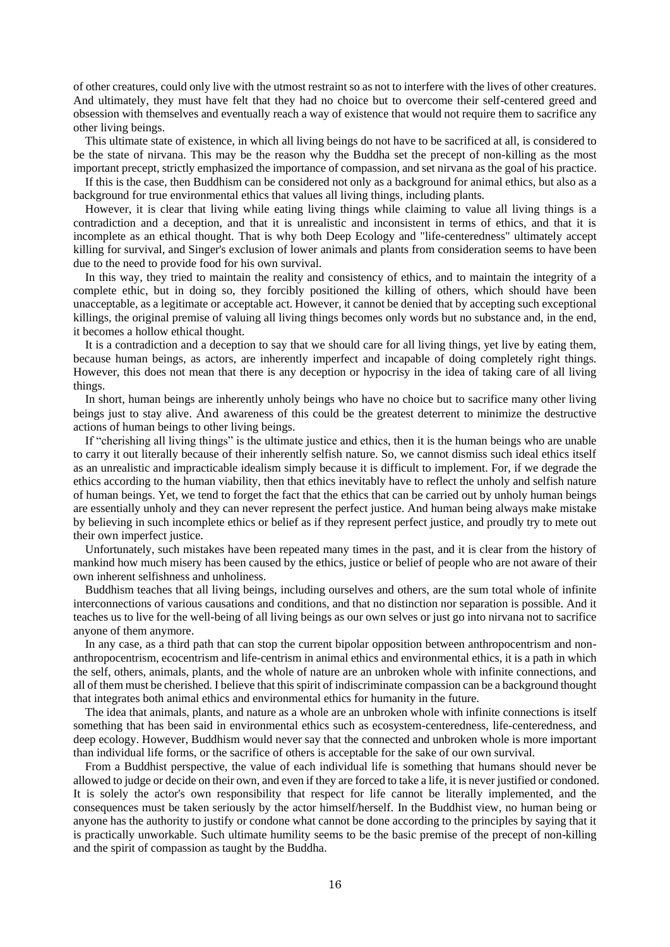of other creatures, could only live with the utmost restraint so as not to interfere with the lives of other creatures. And ultimately, they must have felt that they had no choice but to overcome their self-centered greed and obsession with themselves and eventually reach a way of existence that would not require them to sacrifice any other living beings.

This ultimate state of existence, in which all living beings do not have to be sacrificed at all, is considered to be the state of nirvana. This may be the reason why the Buddha set the precept of non-killing as the most important precept, strictly emphasized the importance of compassion, and set nirvana as the goal of his practice.

If this is the case, then Buddhism can be considered not only as a background for animal ethics, but also as a background for true environmental ethics that values all living things, including plants.

However, it is clear that living while eating living things while claiming to value all living things is a contradiction and a deception, and that it is unrealistic and inconsistent in terms of ethics, and that it is incomplete as an ethical thought. That is why both Deep Ecology and "life-centeredness" ultimately accept killing for survival, and Singer's exclusion of lower animals and plants from consideration seems to have been due to the need to provide food for his own survival.

In this way, they tried to maintain the reality and consistency of ethics, and to maintain the integrity of a complete ethic, but in doing so, they forcibly positioned the killing of others, which should have been unacceptable, as a legitimate or acceptable act. However, it cannot be denied that by accepting such exceptional killings, the original premise of valuing all living things becomes only words but no substance and, in the end, it becomes a hollow ethical thought.

It is a contradiction and a deception to say that we should care for all living things, yet live by eating them, because human beings, as actors, are inherently imperfect and incapable of doing completely right things. However, this does not mean that there is any deception or hypocrisy in the idea of taking care of all living things.

In short, human beings are inherently unholy beings who have no choice but to sacrifice many other living beings just to stay alive. And awareness of this could be the greatest deterrent to minimize the destructive actions of human beings to other living beings.

If "cherishing all living things" is the ultimate justice and ethics, then it is the human beings who are unable to carry it out literally because of their inherently selfish nature. So, we cannot dismiss such ideal ethics itself as an unrealistic and impracticable idealism simply because it is difficult to implement. For, if we degrade the ethics according to the human viability, then that ethics inevitably have to reflect the unholy and selfish nature of human beings. Yet, we tend to forget the fact that the ethics that can be carried out by unholy human beings are essentially unholy and they can never represent the perfect justice. And human being always make mistake by believing in such incomplete ethics or belief as if they represent perfect justice, and proudly try to mete out their own imperfect justice.

Unfortunately, such mistakes have been repeated many times in the past, and it is clear from the history of mankind how much misery has been caused by the ethics, justice or belief of people who are not aware of their own inherent selfishness and unholiness.

Buddhism teaches that all living beings, including ourselves and others, are the sum total whole of infinite interconnections of various causations and conditions, and that no distinction nor separation is possible. And it teaches us to live for the well-being of all living beings as our own selves or just go into nirvana not to sacrifice anyone of them anymore.

In any case, as a third path that can stop the current bipolar opposition between anthropocentrism and nonanthropocentrism, ecocentrism and life-centrism in animal ethics and environmental ethics, it is a path in which the self, others, animals, plants, and the whole of nature are an unbroken whole with infinite connections, and all of them must be cherished. I believe that this spirit of indiscriminate compassion can be a background thought that integrates both animal ethics and environmental ethics for humanity in the future.

The idea that animals, plants, and nature as a whole are an unbroken whole with infinite connections is itself something that has been said in environmental ethics such as ecosystem-centeredness, life-centeredness, and deep ecology. However, Buddhism would never say that the connected and unbroken whole is more important than individual life forms, or the sacrifice of others is acceptable for the sake of our own survival.

From a Buddhist perspective, the value of each individual life is something that humans should never be allowed to judge or decide on their own, and even if they are forced to take a life, it is never justified or condoned. It is solely the actor's own responsibility that respect for life cannot be literally implemented, and the consequences must be taken seriously by the actor himself/herself. In the Buddhist view, no human being or anyone has the authority to justify or condone what cannot be done according to the principles by saying that it is practically unworkable. Such ultimate humility seems to be the basic premise of the precept of non-killing and the spirit of compassion as taught by the Buddha.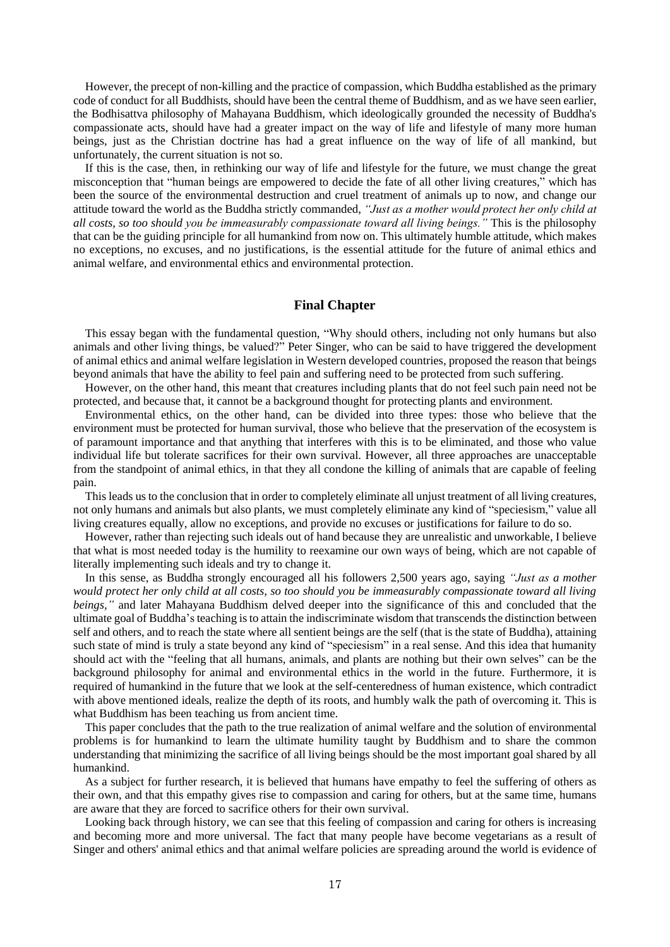However, the precept of non-killing and the practice of compassion, which Buddha established as the primary code of conduct for all Buddhists, should have been the central theme of Buddhism, and as we have seen earlier, the Bodhisattva philosophy of Mahayana Buddhism, which ideologically grounded the necessity of Buddha's compassionate acts, should have had a greater impact on the way of life and lifestyle of many more human beings, just as the Christian doctrine has had a great influence on the way of life of all mankind, but unfortunately, the current situation is not so.

If this is the case, then, in rethinking our way of life and lifestyle for the future, we must change the great misconception that "human beings are empowered to decide the fate of all other living creatures," which has been the source of the environmental destruction and cruel treatment of animals up to now, and change our attitude toward the world as the Buddha strictly commanded, *"Just as a mother would protect her only child at all costs, so too should you be immeasurably compassionate toward all living beings."* This is the philosophy that can be the guiding principle for all humankind from now on. This ultimately humble attitude, which makes no exceptions, no excuses, and no justifications, is the essential attitude for the future of animal ethics and animal welfare, and environmental ethics and environmental protection.

#### **Final Chapter**

This essay began with the fundamental question, "Why should others, including not only humans but also animals and other living things, be valued?" Peter Singer, who can be said to have triggered the development of animal ethics and animal welfare legislation in Western developed countries, proposed the reason that beings beyond animals that have the ability to feel pain and suffering need to be protected from such suffering.

However, on the other hand, this meant that creatures including plants that do not feel such pain need not be protected, and because that, it cannot be a background thought for protecting plants and environment.

Environmental ethics, on the other hand, can be divided into three types: those who believe that the environment must be protected for human survival, those who believe that the preservation of the ecosystem is of paramount importance and that anything that interferes with this is to be eliminated, and those who value individual life but tolerate sacrifices for their own survival. However, all three approaches are unacceptable from the standpoint of animal ethics, in that they all condone the killing of animals that are capable of feeling pain.

This leads us to the conclusion that in order to completely eliminate all unjust treatment of all living creatures, not only humans and animals but also plants, we must completely eliminate any kind of "speciesism," value all living creatures equally, allow no exceptions, and provide no excuses or justifications for failure to do so.

However, rather than rejecting such ideals out of hand because they are unrealistic and unworkable, I believe that what is most needed today is the humility to reexamine our own ways of being, which are not capable of literally implementing such ideals and try to change it.

In this sense, as Buddha strongly encouraged all his followers 2,500 years ago, saying *"Just as a mother would protect her only child at all costs, so too should you be immeasurably compassionate toward all living beings,"* and later Mahayana Buddhism delved deeper into the significance of this and concluded that the ultimate goal of Buddha's teaching is to attain the indiscriminate wisdom that transcends the distinction between self and others, and to reach the state where all sentient beings are the self (that is the state of Buddha), attaining such state of mind is truly a state beyond any kind of "speciesism" in a real sense. And this idea that humanity should act with the "feeling that all humans, animals, and plants are nothing but their own selves" can be the background philosophy for animal and environmental ethics in the world in the future. Furthermore, it is required of humankind in the future that we look at the self-centeredness of human existence, which contradict with above mentioned ideals, realize the depth of its roots, and humbly walk the path of overcoming it. This is what Buddhism has been teaching us from ancient time.

This paper concludes that the path to the true realization of animal welfare and the solution of environmental problems is for humankind to learn the ultimate humility taught by Buddhism and to share the common understanding that minimizing the sacrifice of all living beings should be the most important goal shared by all humankind.

As a subject for further research, it is believed that humans have empathy to feel the suffering of others as their own, and that this empathy gives rise to compassion and caring for others, but at the same time, humans are aware that they are forced to sacrifice others for their own survival.

Looking back through history, we can see that this feeling of compassion and caring for others is increasing and becoming more and more universal. The fact that many people have become vegetarians as a result of Singer and others' animal ethics and that animal welfare policies are spreading around the world is evidence of